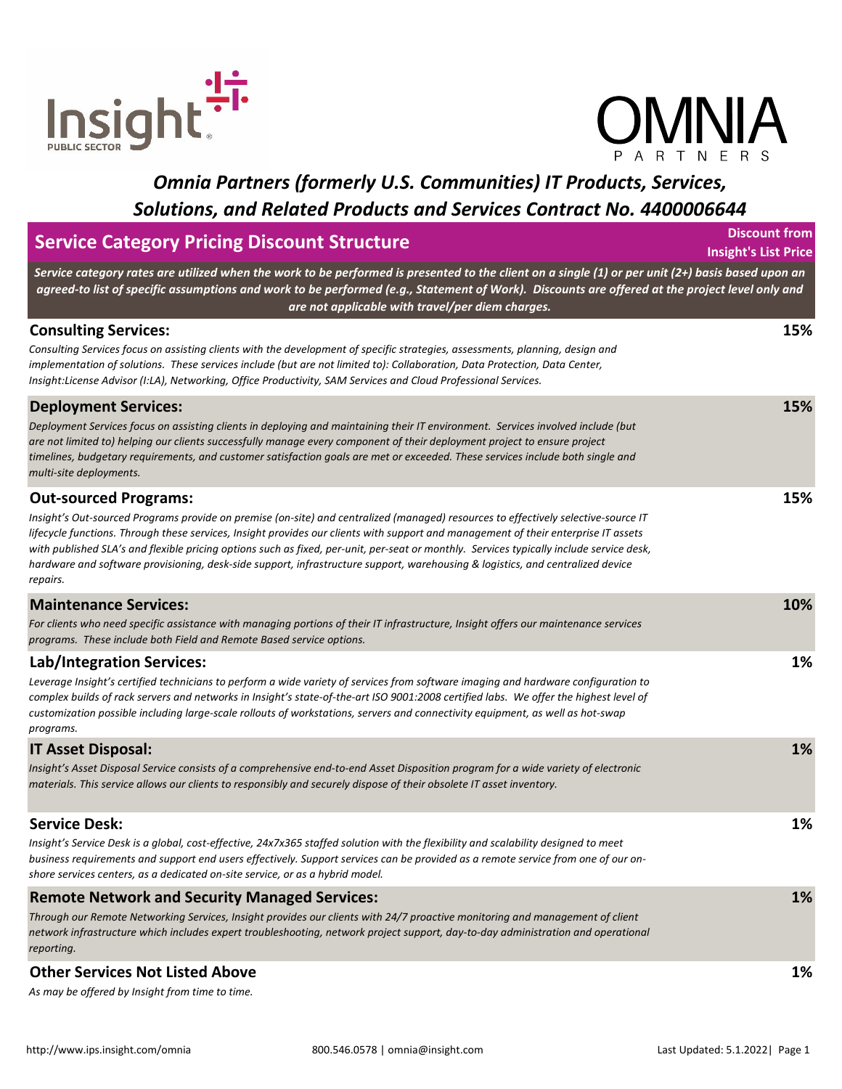



| <b>Service Category Pricing Discount Structure</b>                                                                                                                                                                                                                                                                                                                                                                                                                                                                                                                                                  |     |  |
|-----------------------------------------------------------------------------------------------------------------------------------------------------------------------------------------------------------------------------------------------------------------------------------------------------------------------------------------------------------------------------------------------------------------------------------------------------------------------------------------------------------------------------------------------------------------------------------------------------|-----|--|
| Service category rates are utilized when the work to be performed is presented to the client on a single (1) or per unit (2+) basis based upon an<br>agreed-to list of specific assumptions and work to be performed (e.g., Statement of Work). Discounts are offered at the project level only and<br>are not applicable with travel/per diem charges.                                                                                                                                                                                                                                             |     |  |
| <b>Consulting Services:</b><br>Consulting Services focus on assisting clients with the development of specific strategies, assessments, planning, design and<br>implementation of solutions. These services include (but are not limited to): Collaboration, Data Protection, Data Center,<br>Insight:License Advisor (I:LA), Networking, Office Productivity, SAM Services and Cloud Professional Services.                                                                                                                                                                                        | 15% |  |
| <b>Deployment Services:</b><br>Deployment Services focus on assisting clients in deploying and maintaining their IT environment. Services involved include (but<br>are not limited to) helping our clients successfully manage every component of their deployment project to ensure project<br>timelines, budgetary requirements, and customer satisfaction goals are met or exceeded. These services include both single and<br>multi-site deployments.                                                                                                                                           | 15% |  |
| <b>Out-sourced Programs:</b><br>Insight's Out-sourced Programs provide on premise (on-site) and centralized (managed) resources to effectively selective-source IT<br>lifecycle functions. Through these services, Insight provides our clients with support and management of their enterprise IT assets<br>with published SLA's and flexible pricing options such as fixed, per-unit, per-seat or monthly. Services typically include service desk,<br>hardware and software provisioning, desk-side support, infrastructure support, warehousing & logistics, and centralized device<br>repairs. | 15% |  |
| <b>Maintenance Services:</b><br>For clients who need specific assistance with managing portions of their IT infrastructure, Insight offers our maintenance services<br>programs. These include both Field and Remote Based service options.                                                                                                                                                                                                                                                                                                                                                         | 10% |  |
| Lab/Integration Services:<br>Leverage Insight's certified technicians to perform a wide variety of services from software imaging and hardware configuration to<br>complex builds of rack servers and networks in Insight's state-of-the-art ISO 9001:2008 certified labs. We offer the highest level of<br>customization possible including large-scale rollouts of workstations, servers and connectivity equipment, as well as hot-swap<br>programs.                                                                                                                                             | 1%  |  |
| <b>IT Asset Disposal:</b><br>Insight's Asset Disposal Service consists of a comprehensive end-to-end Asset Disposition program for a wide variety of electronic<br>materials. This service allows our clients to responsibly and securely dispose of their obsolete IT asset inventory.                                                                                                                                                                                                                                                                                                             | 1%  |  |
| <b>Service Desk:</b><br>Insight's Service Desk is a global, cost-effective, 24x7x365 staffed solution with the flexibility and scalability designed to meet<br>business requirements and support end users effectively. Support services can be provided as a remote service from one of our on-<br>shore services centers, as a dedicated on-site service, or as a hybrid model.                                                                                                                                                                                                                   | 1%  |  |
| <b>Remote Network and Security Managed Services:</b><br>Through our Remote Networking Services, Insight provides our clients with 24/7 proactive monitoring and management of client<br>network infrastructure which includes expert troubleshooting, network project support, day-to-day administration and operational<br>reporting.                                                                                                                                                                                                                                                              | 1%  |  |
| <b>Other Services Not Listed Above</b>                                                                                                                                                                                                                                                                                                                                                                                                                                                                                                                                                              | 1%  |  |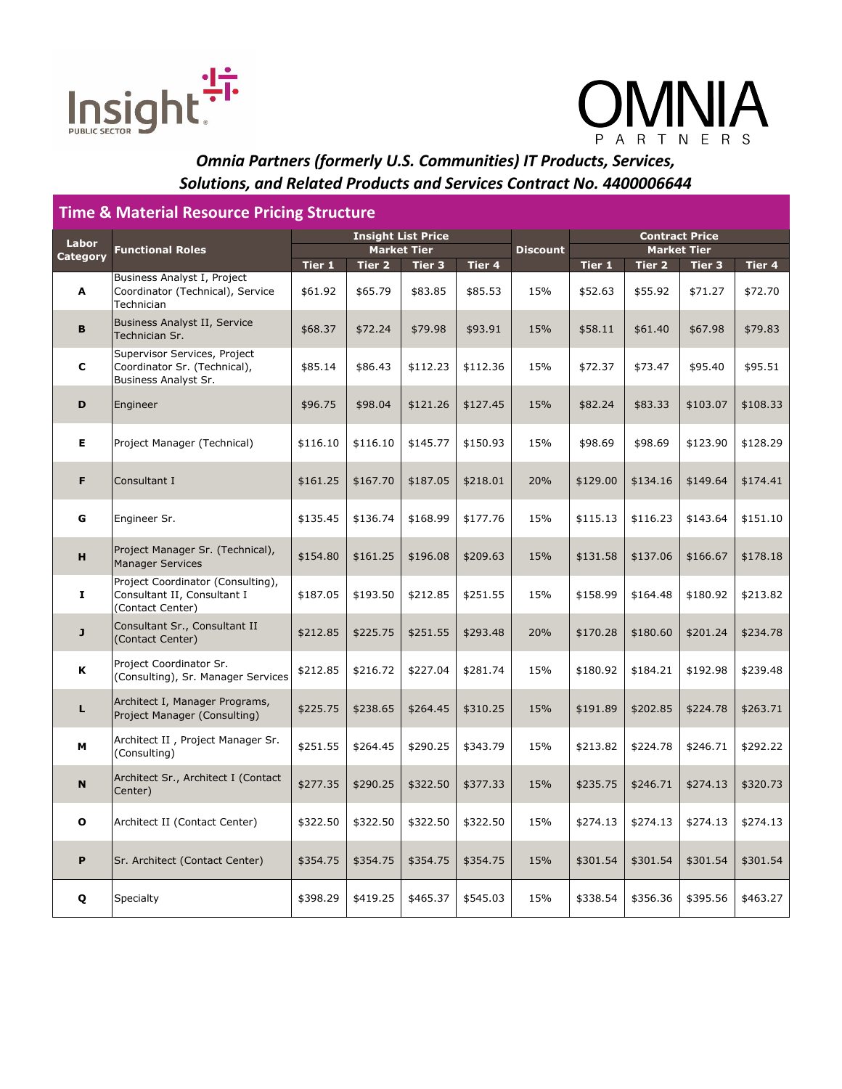



#### **Time & Material Resource Pricing Structure Tier 1 Tier 2 Tier 3 Tier 4 Tier 1 Tier 2 Tier 3 Tier 4 A** Business Analyst I, Project Coordinator (Technical), Service Technician  $$61.92$   $$65.79$   $$83.85$   $$85.53$  15%  $$85.63$  \$52.63 \$55.92  $$71.27$  \$72.70 **B** Business Analyst II, Service<br>Technician Sr. Technician Sr. \$68.37 \$72.24 \$79.98 \$93.91 15% \$58.11 \$61.40 \$67.98 \$79.83 **C** Supervisor Services, Project Coordinator Sr. (Technical), Business Analyst Sr.  $$85.14$   $$86.43$   $$112.23$   $$112.36$  15% \$72.37  $$73.47$   $$95.40$  \$95.51 **D** Engineer \$96.75 \$98.04 \$121.26 \$127.45 15% \$82.24 \$83.33 \$103.07 \$108.33 **E** Project Manager (Technical)  $\frac{1}{16.10}$  \$116.10  $\frac{1}{16.10}$  \$145.77  $\frac{1}{16.10}$  \$150.93 15%  $\frac{1}{16.98}$  \$98.69  $\frac{1}{16.60}$  \$123.90  $\frac{1}{16.20}$ **F** Consultant I \$161.25 \$167.70 \$187.05 \$218.01 20% \$129.00 \$134.16 \$149.64 \$174.41 **G** |Engineer Sr. | \$135.45 | \$136.74 | \$168.99 | \$177.76 | 15% | \$115.13 | \$116.23 | \$143.64 | \$151.10 **H** Project Manager Sr. (Technical),<br>Manager Services Manager Services \$154.80 \$161.25 \$196.08 \$209.63 15% \$131.58 \$137.06 \$166.67 \$178.18 **I** Project Coordinator (Consulting), Consultant II, Consultant I (Contact Center)  $$187.05$   $$193.50$   $$212.85$   $$251.55$  15%  $$158.99$   $$164.48$   $$180.92$   $$213.82$ **J** Consultant Sr., Consultant II (Contact Center) contact Center) \$212.85 | \$225.75 | \$251.55 | \$293.48 | 20% | \$170.28 | \$180.60 | \$201.24 | \$234.78 **K** Project Coordinator Sr. |rioject Coordinator 51.<br>|Consulting), Sr. Manager Services| \$212.85 | \$216.72 | \$227.04 | \$281.74 | 15% | \$180.92 | \$184.21 | \$192.98 | \$239.48 **L** Architect I, Manager Programs, |Architect I, Manager Programs, | \$225.75 | \$238.65 | \$264.45 | \$310.25 | 15% | \$191.89 | \$202.85 | \$224.78 | \$263.71<br>|Project Manager (Consulting) **M** Architect II, Project Manager Sr.<br>(Consulting) .~~...eecc 17 . 1.9,eec ......ege. e.: \$251.55 | \$264.45 | \$290.25 | \$343.79 | 15% \$213.82 | \$224.78 | \$246.71 | \$292.22<br>(Consulting) **N** Architect Sr., Architect I (Contact Center) Center) \$274.13 \$320.73 \$290.25 \$290.25 \$322.50 \$377.33 \$235.75 \$246.71 \$274.13 \$320.73<br>Center) **O** Architect II (Contact Center)  $\frac{1}{322.50}$   $\frac{1}{322.50}$   $\frac{1}{322.50}$   $\frac{1}{322.50}$  15%  $\frac{1}{3274.13}$   $\frac{1}{274.13}$   $\frac{1}{3274.13}$   $\frac{1}{3274.13}$ **P** Sr. Architect (Contact Center)  $\frac{1}{354.75}$   $\frac{1}{354.75}$   $\frac{1}{354.75}$   $\frac{1}{354.75}$  15%  $\frac{1}{301.54}$   $\frac{1}{301.54}$   $\frac{1}{301.54}$   $\frac{1}{301.54}$   $\frac{1}{301.54}$ **Q** Specialty \$398.29 \$419.25 \$465.37 \$545.03 15% \$338.54 \$356.36 \$395.56 \$463.27 **Labor Functional Roles Insight List Price Discount Contract Price Market Tier Market Tier**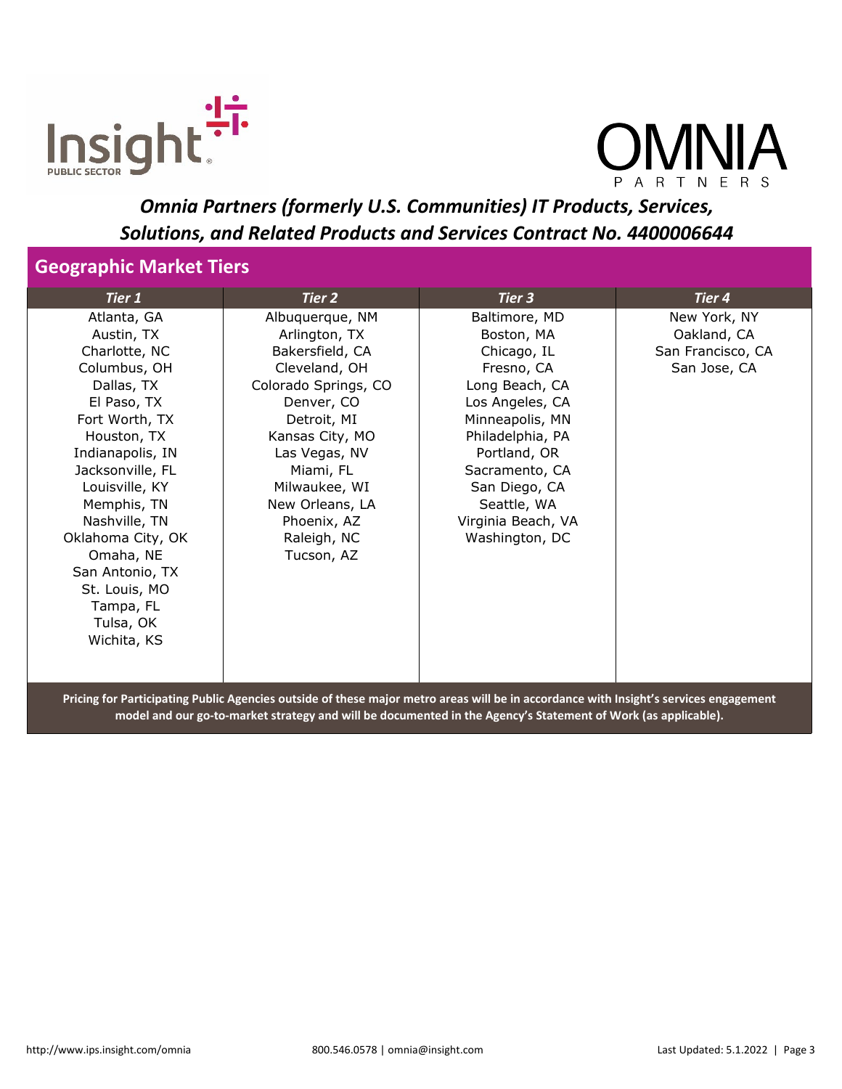



#### **Geographic Market Tiers**

| Tier 1            | Tier 2               | Tier 3             | Tier 4            |
|-------------------|----------------------|--------------------|-------------------|
| Atlanta, GA       | Albuquerque, NM      | Baltimore, MD      | New York, NY      |
| Austin, TX        | Arlington, TX        | Boston, MA         | Oakland, CA       |
| Charlotte, NC     | Bakersfield, CA      | Chicago, IL        | San Francisco, CA |
| Columbus, OH      | Cleveland, OH        | Fresno, CA         | San Jose, CA      |
| Dallas, TX        | Colorado Springs, CO | Long Beach, CA     |                   |
| El Paso, TX       | Denver, CO           | Los Angeles, CA    |                   |
| Fort Worth, TX    | Detroit, MI          | Minneapolis, MN    |                   |
| Houston, TX       | Kansas City, MO      | Philadelphia, PA   |                   |
| Indianapolis, IN  | Las Vegas, NV        | Portland, OR       |                   |
| Jacksonville, FL  | Miami, FL            | Sacramento, CA     |                   |
| Louisville, KY    | Milwaukee, WI        | San Diego, CA      |                   |
| Memphis, TN       | New Orleans, LA      | Seattle, WA        |                   |
| Nashville, TN     | Phoenix, AZ          | Virginia Beach, VA |                   |
| Oklahoma City, OK | Raleigh, NC          | Washington, DC     |                   |
| Omaha, NE         | Tucson, AZ           |                    |                   |
| San Antonio, TX   |                      |                    |                   |
| St. Louis, MO     |                      |                    |                   |
| Tampa, FL         |                      |                    |                   |
| Tulsa, OK         |                      |                    |                   |
| Wichita, KS       |                      |                    |                   |
|                   |                      |                    |                   |
|                   |                      |                    |                   |

**Pricing for Participating Public Agencies outside of these major metro areas will be in accordance with Insight's services engagement model and our go-to-market strategy and will be documented in the Agency's Statement of Work (as applicable).**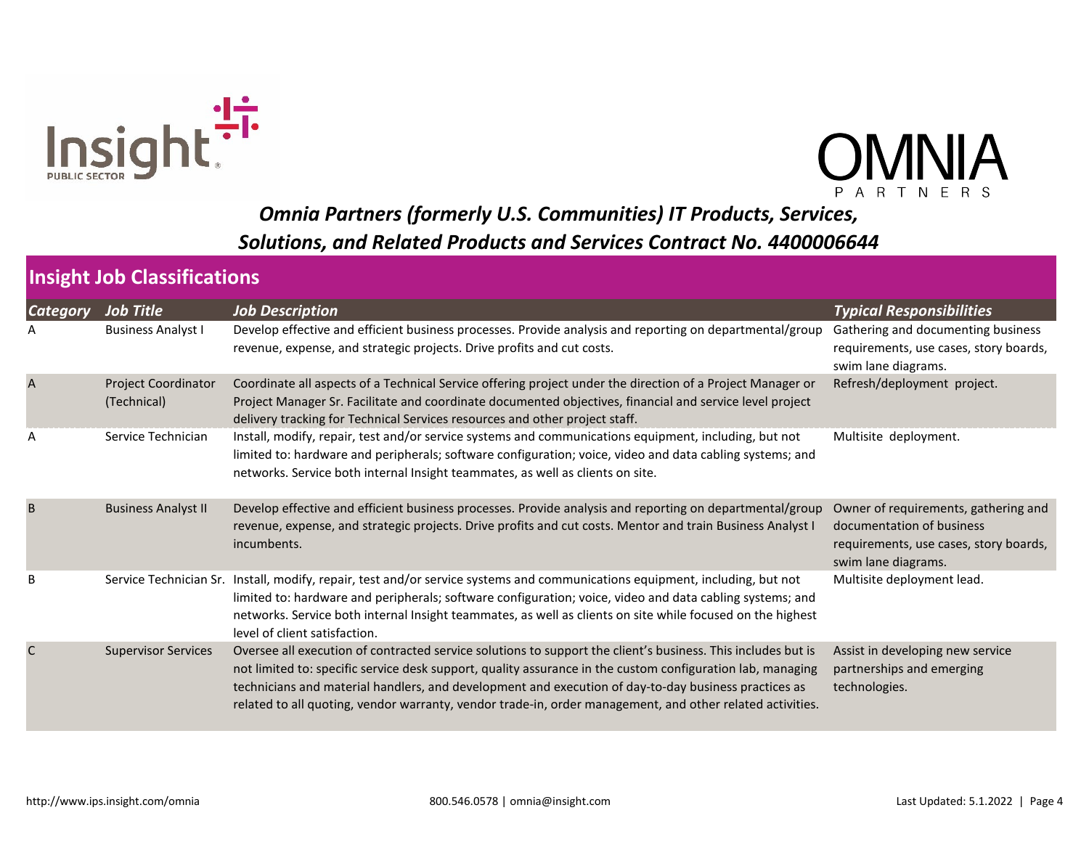



| <b>Category</b> | <b>Job Title</b>                   | <b>Job Description</b>                                                                                                                                                                                                                                                                                                                                                                                                                          | <b>Typical Responsibilities</b>                                                                                                    |
|-----------------|------------------------------------|-------------------------------------------------------------------------------------------------------------------------------------------------------------------------------------------------------------------------------------------------------------------------------------------------------------------------------------------------------------------------------------------------------------------------------------------------|------------------------------------------------------------------------------------------------------------------------------------|
|                 | <b>Business Analyst I</b>          | Develop effective and efficient business processes. Provide analysis and reporting on departmental/group<br>revenue, expense, and strategic projects. Drive profits and cut costs.                                                                                                                                                                                                                                                              | Gathering and documenting business<br>requirements, use cases, story boards,<br>swim lane diagrams.                                |
| $\overline{A}$  | Project Coordinator<br>(Technical) | Coordinate all aspects of a Technical Service offering project under the direction of a Project Manager or<br>Project Manager Sr. Facilitate and coordinate documented objectives, financial and service level project<br>delivery tracking for Technical Services resources and other project staff.                                                                                                                                           | Refresh/deployment project.                                                                                                        |
| A               | Service Technician                 | Install, modify, repair, test and/or service systems and communications equipment, including, but not<br>limited to: hardware and peripherals; software configuration; voice, video and data cabling systems; and<br>networks. Service both internal Insight teammates, as well as clients on site.                                                                                                                                             | Multisite deployment.                                                                                                              |
| B               | <b>Business Analyst II</b>         | Develop effective and efficient business processes. Provide analysis and reporting on departmental/group<br>revenue, expense, and strategic projects. Drive profits and cut costs. Mentor and train Business Analyst I<br>incumbents.                                                                                                                                                                                                           | Owner of requirements, gathering and<br>documentation of business<br>requirements, use cases, story boards,<br>swim lane diagrams. |
| B               |                                    | Service Technician Sr. Install, modify, repair, test and/or service systems and communications equipment, including, but not<br>limited to: hardware and peripherals; software configuration; voice, video and data cabling systems; and<br>networks. Service both internal Insight teammates, as well as clients on site while focused on the highest<br>level of client satisfaction.                                                         | Multisite deployment lead.                                                                                                         |
| C               | <b>Supervisor Services</b>         | Oversee all execution of contracted service solutions to support the client's business. This includes but is<br>not limited to: specific service desk support, quality assurance in the custom configuration lab, managing<br>technicians and material handlers, and development and execution of day-to-day business practices as<br>related to all quoting, vendor warranty, vendor trade-in, order management, and other related activities. | Assist in developing new service<br>partnerships and emerging<br>technologies.                                                     |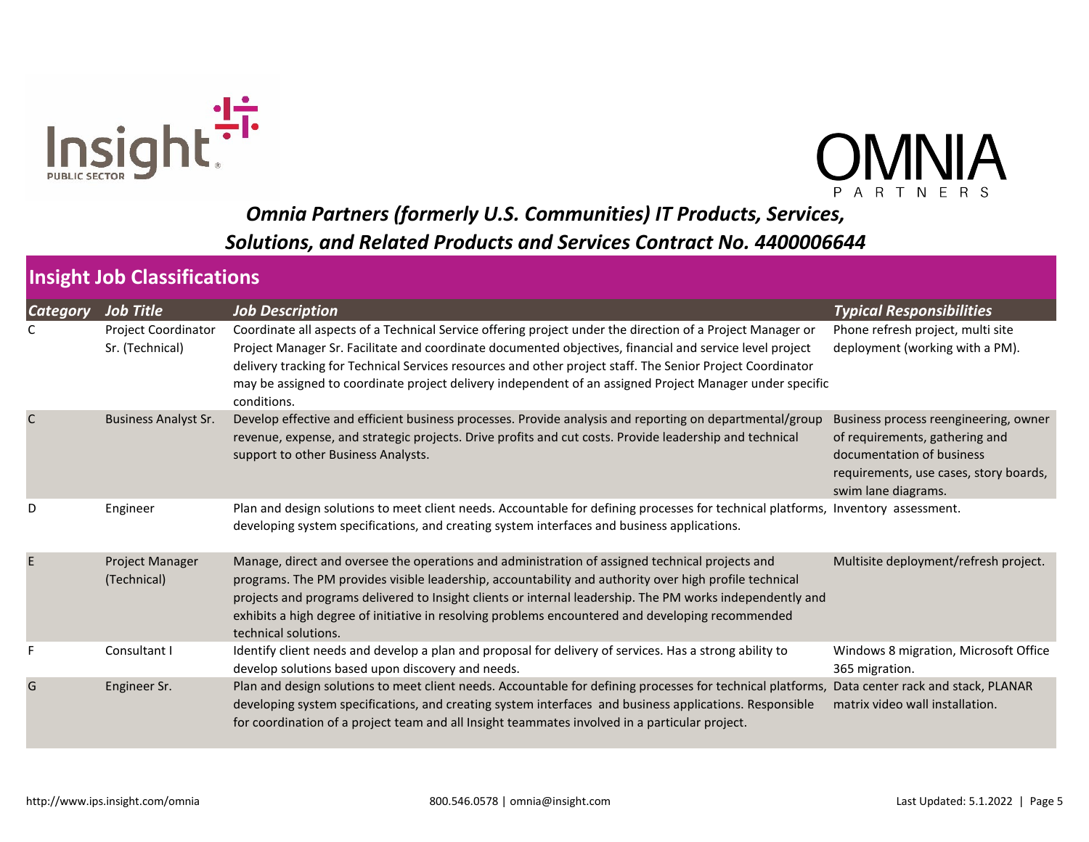



| <b>Category</b> | <b>Job Title</b>                       | <b>Job Description</b>                                                                                                                                                                                                                                                                                                                                                                                                                                          | <b>Typical Responsibilities</b>                                                                                                                                       |
|-----------------|----------------------------------------|-----------------------------------------------------------------------------------------------------------------------------------------------------------------------------------------------------------------------------------------------------------------------------------------------------------------------------------------------------------------------------------------------------------------------------------------------------------------|-----------------------------------------------------------------------------------------------------------------------------------------------------------------------|
|                 | Project Coordinator<br>Sr. (Technical) | Coordinate all aspects of a Technical Service offering project under the direction of a Project Manager or<br>Project Manager Sr. Facilitate and coordinate documented objectives, financial and service level project<br>delivery tracking for Technical Services resources and other project staff. The Senior Project Coordinator<br>may be assigned to coordinate project delivery independent of an assigned Project Manager under specific<br>conditions. | Phone refresh project, multi site<br>deployment (working with a PM).                                                                                                  |
| $\mathsf{C}$    | <b>Business Analyst Sr.</b>            | Develop effective and efficient business processes. Provide analysis and reporting on departmental/group<br>revenue, expense, and strategic projects. Drive profits and cut costs. Provide leadership and technical<br>support to other Business Analysts.                                                                                                                                                                                                      | Business process reengineering, owner<br>of requirements, gathering and<br>documentation of business<br>requirements, use cases, story boards,<br>swim lane diagrams. |
| D               | Engineer                               | Plan and design solutions to meet client needs. Accountable for defining processes for technical platforms, Inventory assessment.<br>developing system specifications, and creating system interfaces and business applications.                                                                                                                                                                                                                                |                                                                                                                                                                       |
| E               | Project Manager<br>(Technical)         | Manage, direct and oversee the operations and administration of assigned technical projects and<br>programs. The PM provides visible leadership, accountability and authority over high profile technical<br>projects and programs delivered to Insight clients or internal leadership. The PM works independently and<br>exhibits a high degree of initiative in resolving problems encountered and developing recommended<br>technical solutions.             | Multisite deployment/refresh project.                                                                                                                                 |
|                 | Consultant I                           | Identify client needs and develop a plan and proposal for delivery of services. Has a strong ability to<br>develop solutions based upon discovery and needs.                                                                                                                                                                                                                                                                                                    | Windows 8 migration, Microsoft Office<br>365 migration.                                                                                                               |
| G               | Engineer Sr.                           | Plan and design solutions to meet client needs. Accountable for defining processes for technical platforms, Data center rack and stack, PLANAR<br>developing system specifications, and creating system interfaces and business applications. Responsible<br>for coordination of a project team and all Insight teammates involved in a particular project.                                                                                                     | matrix video wall installation.                                                                                                                                       |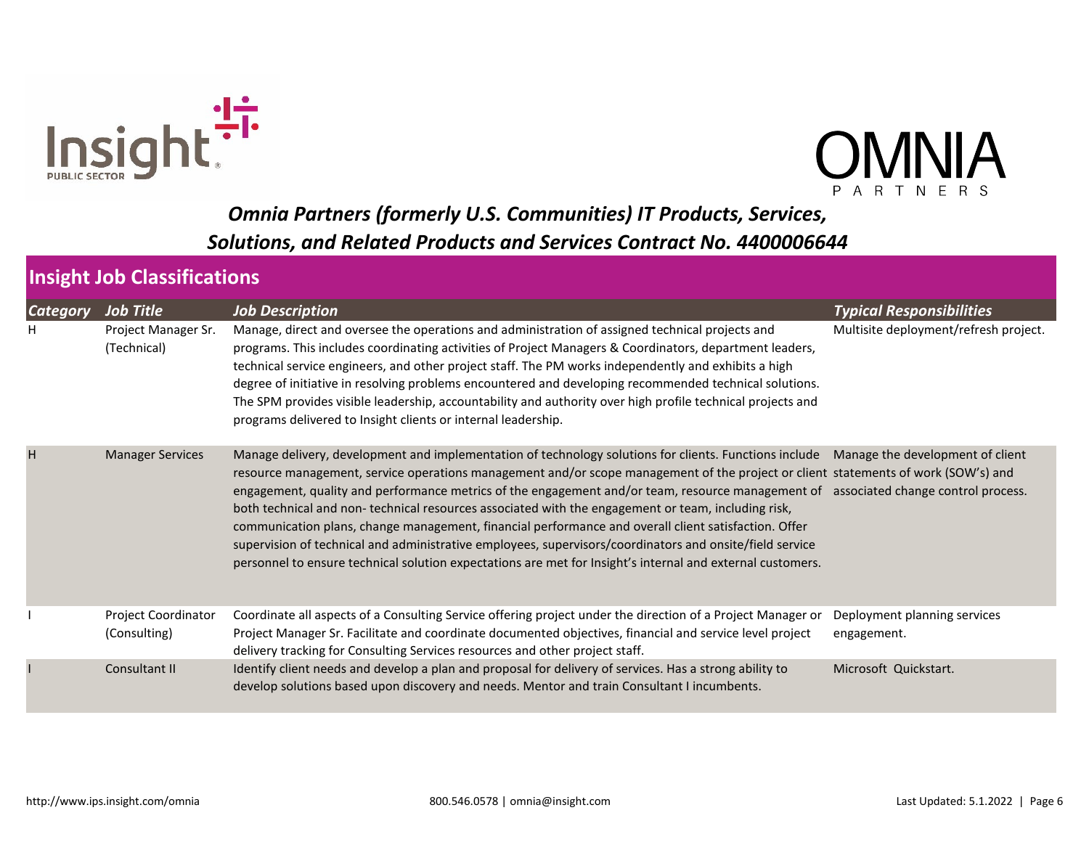



| <b>Category</b> | <b>Job Title</b>                    | <b>Job Description</b>                                                                                                                                                                                                                                                                                                                                                                                                                                                                                                                                                                                                                                                                                                                                                                                                                                        | <b>Typical Responsibilities</b>             |
|-----------------|-------------------------------------|---------------------------------------------------------------------------------------------------------------------------------------------------------------------------------------------------------------------------------------------------------------------------------------------------------------------------------------------------------------------------------------------------------------------------------------------------------------------------------------------------------------------------------------------------------------------------------------------------------------------------------------------------------------------------------------------------------------------------------------------------------------------------------------------------------------------------------------------------------------|---------------------------------------------|
| н               | Project Manager Sr.<br>(Technical)  | Manage, direct and oversee the operations and administration of assigned technical projects and<br>programs. This includes coordinating activities of Project Managers & Coordinators, department leaders,<br>technical service engineers, and other project staff. The PM works independently and exhibits a high<br>degree of initiative in resolving problems encountered and developing recommended technical solutions.<br>The SPM provides visible leadership, accountability and authority over high profile technical projects and<br>programs delivered to Insight clients or internal leadership.                                                                                                                                                                                                                                                   | Multisite deployment/refresh project.       |
| H               | <b>Manager Services</b>             | Manage delivery, development and implementation of technology solutions for clients. Functions include Manage the development of client<br>resource management, service operations management and/or scope management of the project or client statements of work (SOW's) and<br>engagement, quality and performance metrics of the engagement and/or team, resource management of associated change control process.<br>both technical and non-technical resources associated with the engagement or team, including risk,<br>communication plans, change management, financial performance and overall client satisfaction. Offer<br>supervision of technical and administrative employees, supervisors/coordinators and onsite/field service<br>personnel to ensure technical solution expectations are met for Insight's internal and external customers. |                                             |
|                 | Project Coordinator<br>(Consulting) | Coordinate all aspects of a Consulting Service offering project under the direction of a Project Manager or<br>Project Manager Sr. Facilitate and coordinate documented objectives, financial and service level project<br>delivery tracking for Consulting Services resources and other project staff.                                                                                                                                                                                                                                                                                                                                                                                                                                                                                                                                                       | Deployment planning services<br>engagement. |
|                 | Consultant II                       | Identify client needs and develop a plan and proposal for delivery of services. Has a strong ability to<br>develop solutions based upon discovery and needs. Mentor and train Consultant I incumbents.                                                                                                                                                                                                                                                                                                                                                                                                                                                                                                                                                                                                                                                        | Microsoft Quickstart.                       |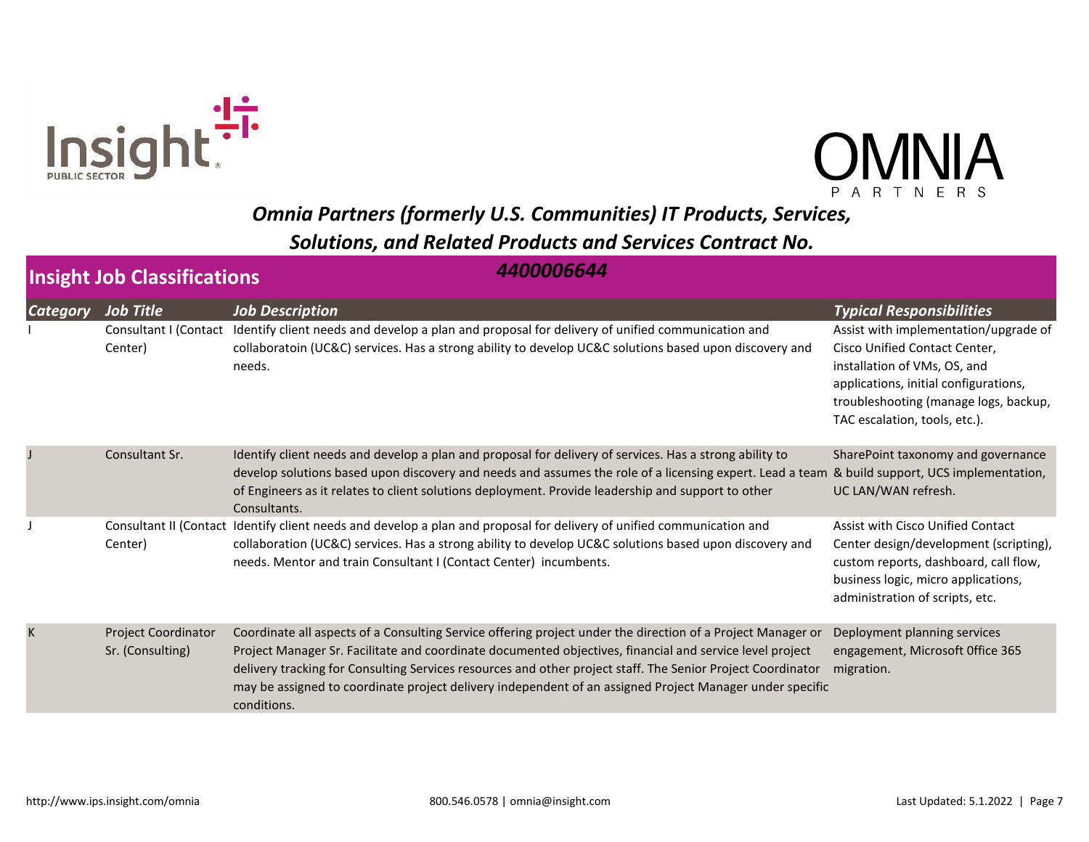



|                 | 4400006644<br><b>Insight Job Classifications</b> |                                                                                                                                                                                                                                                                                                                                                                                                                                                                   |                                                                                                                                                                                                                                                              |  |  |
|-----------------|--------------------------------------------------|-------------------------------------------------------------------------------------------------------------------------------------------------------------------------------------------------------------------------------------------------------------------------------------------------------------------------------------------------------------------------------------------------------------------------------------------------------------------|--------------------------------------------------------------------------------------------------------------------------------------------------------------------------------------------------------------------------------------------------------------|--|--|
| <b>Category</b> | <b>Job Title</b><br>Center)                      | <b>Job Description</b><br>Consultant I (Contact Identify client needs and develop a plan and proposal for delivery of unified communication and<br>collaboratoin (UC&C) services. Has a strong ability to develop UC&C solutions based upon discovery and<br>needs.                                                                                                                                                                                               | <b>Typical Responsibilities</b><br>Assist with implementation/upgrade of<br>Cisco Unified Contact Center,<br>installation of VMs, OS, and<br>applications, initial configurations,<br>troubleshooting (manage logs, backup,<br>TAC escalation, tools, etc.). |  |  |
|                 | Consultant Sr.                                   | Identify client needs and develop a plan and proposal for delivery of services. Has a strong ability to<br>develop solutions based upon discovery and needs and assumes the role of a licensing expert. Lead a team<br>of Engineers as it relates to client solutions deployment. Provide leadership and support to other<br>Consultants.                                                                                                                         | SharePoint taxonomy and governance<br>& build support, UCS implementation,<br>UC LAN/WAN refresh.                                                                                                                                                            |  |  |
|                 | Center)                                          | Consultant II (Contact Identify client needs and develop a plan and proposal for delivery of unified communication and<br>collaboration (UC&C) services. Has a strong ability to develop UC&C solutions based upon discovery and<br>needs. Mentor and train Consultant I (Contact Center) incumbents.                                                                                                                                                             | Assist with Cisco Unified Contact<br>Center design/development (scripting),<br>custom reports, dashboard, call flow,<br>business logic, micro applications,<br>administration of scripts, etc.                                                               |  |  |
| K               | <b>Project Coordinator</b><br>Sr. (Consulting)   | Coordinate all aspects of a Consulting Service offering project under the direction of a Project Manager or<br>Project Manager Sr. Facilitate and coordinate documented objectives, financial and service level project<br>delivery tracking for Consulting Services resources and other project staff. The Senior Project Coordinator<br>may be assigned to coordinate project delivery independent of an assigned Project Manager under specific<br>conditions. | Deployment planning services<br>engagement, Microsoft Office 365<br>migration.                                                                                                                                                                               |  |  |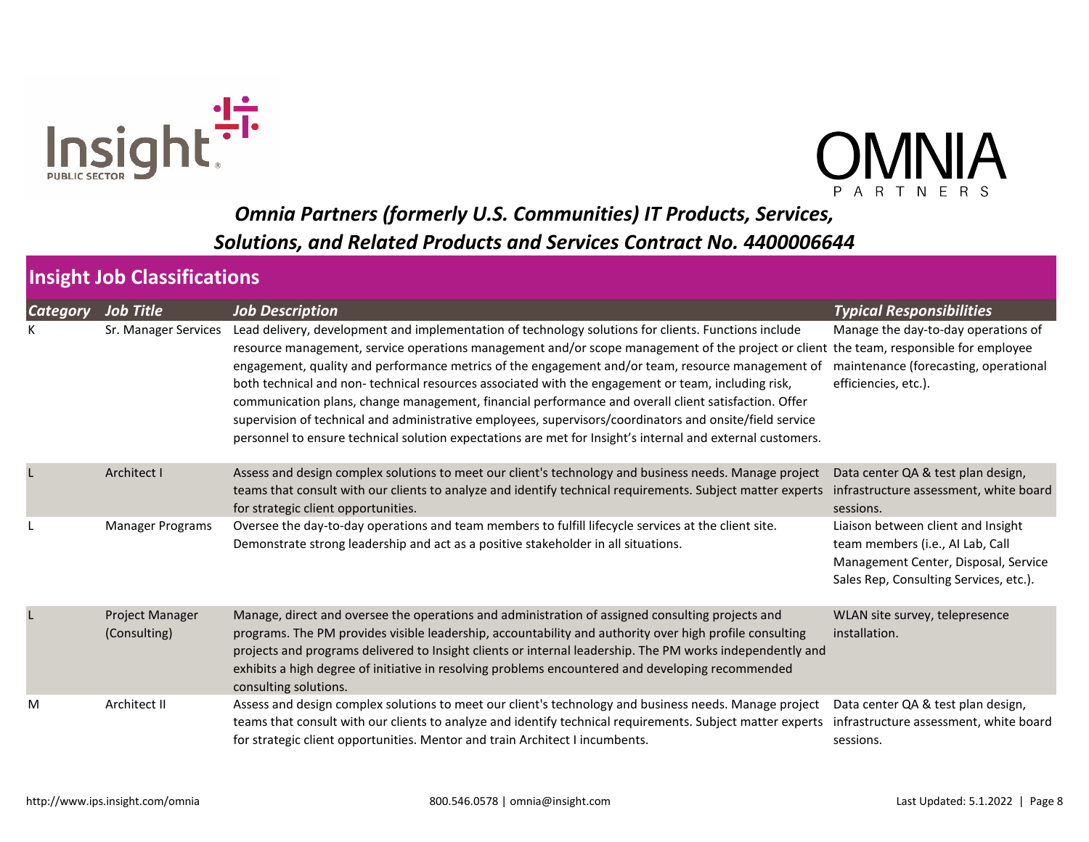



| <b>Category</b> | Job Title                              | <b>Job Description</b>                                                                                                                                                                                                                                                                                                                                                                                                                                                                                                                                                                                                                                                                                                                                                                      | <b>Typical Responsibilities</b>                                                                                                                          |
|-----------------|----------------------------------------|---------------------------------------------------------------------------------------------------------------------------------------------------------------------------------------------------------------------------------------------------------------------------------------------------------------------------------------------------------------------------------------------------------------------------------------------------------------------------------------------------------------------------------------------------------------------------------------------------------------------------------------------------------------------------------------------------------------------------------------------------------------------------------------------|----------------------------------------------------------------------------------------------------------------------------------------------------------|
|                 | Sr. Manager Services                   | Lead delivery, development and implementation of technology solutions for clients. Functions include<br>resource management, service operations management and/or scope management of the project or client the team, responsible for employee<br>engagement, quality and performance metrics of the engagement and/or team, resource management of<br>both technical and non-technical resources associated with the engagement or team, including risk,<br>communication plans, change management, financial performance and overall client satisfaction. Offer<br>supervision of technical and administrative employees, supervisors/coordinators and onsite/field service<br>personnel to ensure technical solution expectations are met for Insight's internal and external customers. | Manage the day-to-day operations of<br>maintenance (forecasting, operational<br>efficiencies, etc.).                                                     |
|                 | <b>Architect I</b>                     | Assess and design complex solutions to meet our client's technology and business needs. Manage project<br>teams that consult with our clients to analyze and identify technical requirements. Subject matter experts<br>for strategic client opportunities.                                                                                                                                                                                                                                                                                                                                                                                                                                                                                                                                 | Data center QA & test plan design,<br>infrastructure assessment, white board<br>sessions.                                                                |
|                 | Manager Programs                       | Oversee the day-to-day operations and team members to fulfill lifecycle services at the client site.<br>Demonstrate strong leadership and act as a positive stakeholder in all situations.                                                                                                                                                                                                                                                                                                                                                                                                                                                                                                                                                                                                  | Liaison between client and Insight<br>team members (i.e., AI Lab, Call<br>Management Center, Disposal, Service<br>Sales Rep, Consulting Services, etc.). |
|                 | <b>Project Manager</b><br>(Consulting) | Manage, direct and oversee the operations and administration of assigned consulting projects and<br>programs. The PM provides visible leadership, accountability and authority over high profile consulting<br>projects and programs delivered to Insight clients or internal leadership. The PM works independently and<br>exhibits a high degree of initiative in resolving problems encountered and developing recommended<br>consulting solutions.                                                                                                                                                                                                                                                                                                                                      | WLAN site survey, telepresence<br>installation.                                                                                                          |
| M               | Architect II                           | Assess and design complex solutions to meet our client's technology and business needs. Manage project<br>teams that consult with our clients to analyze and identify technical requirements. Subject matter experts<br>for strategic client opportunities. Mentor and train Architect I incumbents.                                                                                                                                                                                                                                                                                                                                                                                                                                                                                        | Data center QA & test plan design,<br>infrastructure assessment, white board<br>sessions.                                                                |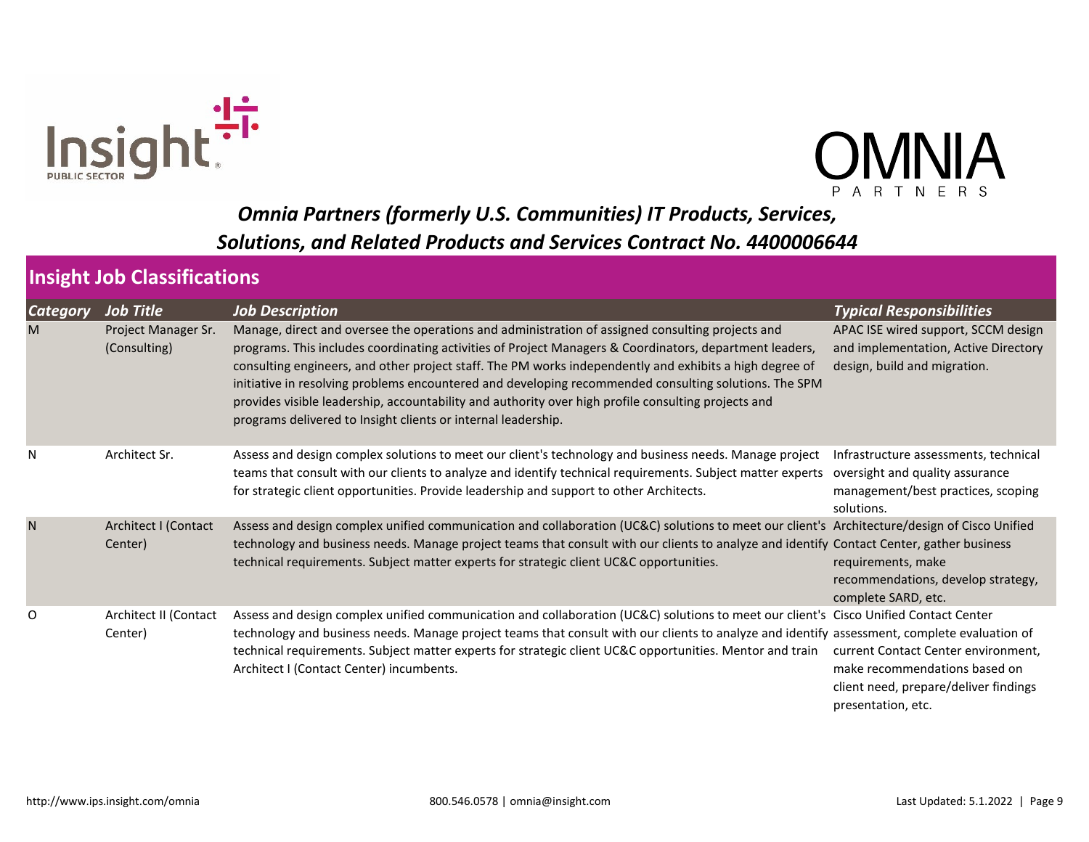



| <b>Category</b> | Job Tit <u>le</u>                   | <b>Job Description</b>                                                                                                                                                                                                                                                                                                                                                                                                                                                                                                                                                                                  | <b>Typical Responsibilities</b>                                                                                                     |
|-----------------|-------------------------------------|---------------------------------------------------------------------------------------------------------------------------------------------------------------------------------------------------------------------------------------------------------------------------------------------------------------------------------------------------------------------------------------------------------------------------------------------------------------------------------------------------------------------------------------------------------------------------------------------------------|-------------------------------------------------------------------------------------------------------------------------------------|
| M               | Project Manager Sr.<br>(Consulting) | Manage, direct and oversee the operations and administration of assigned consulting projects and<br>programs. This includes coordinating activities of Project Managers & Coordinators, department leaders,<br>consulting engineers, and other project staff. The PM works independently and exhibits a high degree of<br>initiative in resolving problems encountered and developing recommended consulting solutions. The SPM<br>provides visible leadership, accountability and authority over high profile consulting projects and<br>programs delivered to Insight clients or internal leadership. | APAC ISE wired support, SCCM design<br>and implementation, Active Directory<br>design, build and migration.                         |
| N               | Architect Sr.                       | Assess and design complex solutions to meet our client's technology and business needs. Manage project<br>teams that consult with our clients to analyze and identify technical requirements. Subject matter experts<br>for strategic client opportunities. Provide leadership and support to other Architects.                                                                                                                                                                                                                                                                                         | Infrastructure assessments, technical<br>oversight and quality assurance<br>management/best practices, scoping<br>solutions.        |
| N               | Architect I (Contact<br>Center)     | Assess and design complex unified communication and collaboration (UC&C) solutions to meet our client's Architecture/design of Cisco Unified<br>technology and business needs. Manage project teams that consult with our clients to analyze and identify Contact Center, gather business<br>technical requirements. Subject matter experts for strategic client UC&C opportunities.                                                                                                                                                                                                                    | requirements, make<br>recommendations, develop strategy,<br>complete SARD, etc.                                                     |
| 0               | Architect II (Contact<br>Center)    | Assess and design complex unified communication and collaboration (UC&C) solutions to meet our client's Cisco Unified Contact Center<br>technology and business needs. Manage project teams that consult with our clients to analyze and identify assessment, complete evaluation of<br>technical requirements. Subject matter experts for strategic client UC&C opportunities. Mentor and train<br>Architect I (Contact Center) incumbents.                                                                                                                                                            | current Contact Center environment,<br>make recommendations based on<br>client need, prepare/deliver findings<br>presentation, etc. |